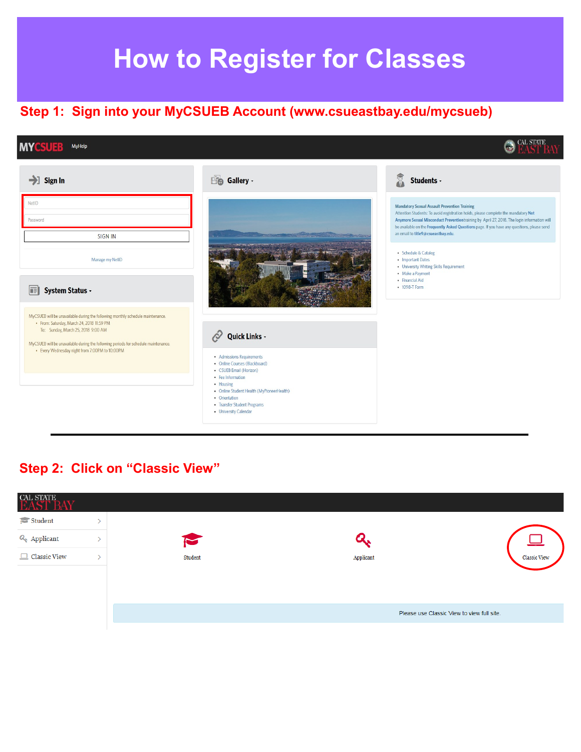# **How to Register for Classes**

**O CAL STATE** 

## **Step 1: Sign into your MyCSUEB Account (www.csueastbay.edu/mycsueb)**

#### **MYCSU** MyHelp

#### $\rightarrow$  Sign In **Eg** Gallery -Students - $\tilde{v}$ NetID **Mandatory Sexual Assault Prevention Training** Attention Students: To avoid registration holds, please complete the mandatory Not Password Anymore Sexual Misconduct Prevention training by April 27, 2018. The login information will be available on the Frequently Asked Questions page. If you have any questions, please send an email to title9@csueastbay.edu **SIGN IN** • Schedule & Catalog Manage my NetID • Important Dates • University Writing Skills Requirement · Make a Payment · Financial Aid • 1098-T Form **IE** System Status -MyCSUEB will be unavailable during the following monthly schedule maintenance. · From: Saturday, March 24, 2018 11:59 PM To: Sunday, March 25, 2018 9:00 AM  $\oslash$  Quick Links -MyCSUEB will be unavailable during the following periods for schedule maintenance. • Every Wednesday night from 7:00PM to 10:00PM • Admissions Requirements • Online Courses (Blackboard) • CSUEB Email (Horizon) • Fee Information • Housing • Online Student Health (MyPioneerHealth) • Orientation • Transfer Student Programs • University Calendar

### **Step 2: Click on "Classic View"**

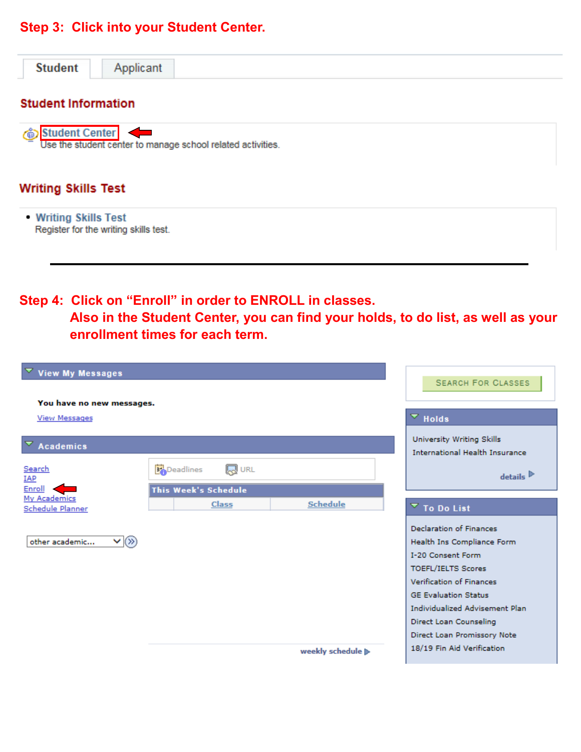#### **Step 3: Click into your Student Center.**



| <b>View My Messages</b>                 |                                                          | <b>SEARCH FOR CLASSES</b>                                                         |
|-----------------------------------------|----------------------------------------------------------|-----------------------------------------------------------------------------------|
| You have no new messages.               |                                                          |                                                                                   |
| <b>View Messages</b>                    |                                                          | $\overline{\phantom{a}}$ Holds                                                    |
| <b>Academics</b>                        |                                                          | University Writing Skills<br><b>International Health Insurance</b>                |
| Search<br><b>IAP</b><br>Enroll          | <b>同 URL</b><br><b>Deadlines</b><br>This Week's Schedule | $details$ <sup><math>\triangleright</math></sup>                                  |
| My Academics<br><b>Schedule Planner</b> | <b>Schedule</b><br><b>Class</b>                          | $\overline{\phantom{a}}$ To Do List                                               |
| $\vee$ $\infty$<br>other academic       |                                                          | <b>Declaration of Finances</b><br>Health Ins Compliance Form<br>I-20 Consent Form |
|                                         |                                                          | <b>TOEFL/IELTS Scores</b><br><b>Verification of Finances</b>                      |
|                                         |                                                          | <b>GE Evaluation Status</b><br>Individualized Advisement Plan                     |
|                                         |                                                          | Direct Loan Counseling<br>Direct Loan Promissory Note                             |
|                                         |                                                          | 18/19 Fin Aid Verification<br>weekly schedule >                                   |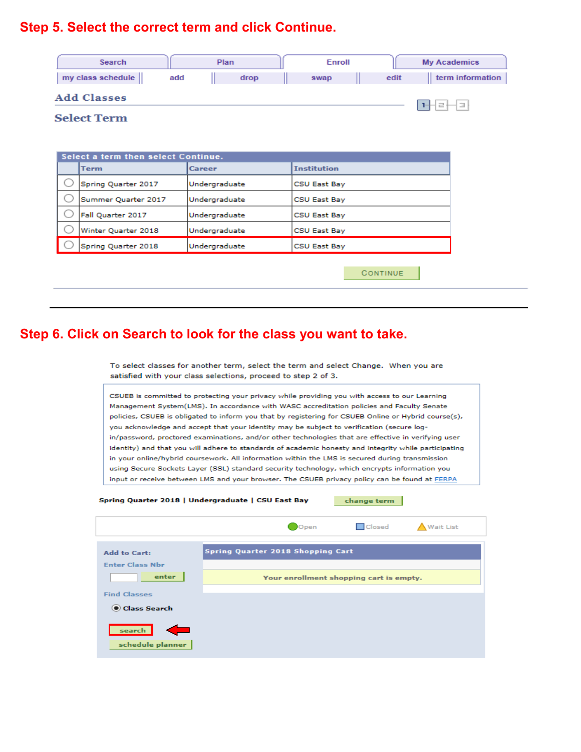# **Step 5. Select the correct term and click Continue.**



| Select a term then select Continue. |               |                     |
|-------------------------------------|---------------|---------------------|
| <b>Term</b>                         | Career        | <b>Institution</b>  |
| Spring Quarter 2017                 | Undergraduate | CSU East Bay        |
| Summer Quarter 2017                 | Undergraduate | CSU East Bay        |
| Fall Quarter 2017                   | Undergraduate | <b>CSU East Bay</b> |
| Winter Quarter 2018                 | Undergraduate | CSU East Bay        |
| Spring Quarter 2018                 | Undergraduate | CSU East Bay        |
|                                     |               |                     |
|                                     |               | CONTINUE            |

#### **Step 6. Click on Search to look for the class you want to take.**

To select classes for another term, select the term and select Change. When you are satisfied with your class selections, proceed to step 2 of 3.

CSUEB is committed to protecting your privacy while providing you with access to our Learning Management System(LMS). In accordance with WASC accreditation policies and Faculty Senate policies, CSUEB is obligated to inform you that by registering for CSUEB Online or Hybrid course(s), you acknowledge and accept that your identity may be subject to verification (secure login/password, proctored examinations, and/or other technologies that are effective in verifying user identity) and that you will adhere to standards of academic honesty and integrity while participating in your online/hybrid coursework. All information within the LMS is secured during transmission using Secure Sockets Layer (SSL) standard security technology, which encrypts information you input or receive between LMS and your browser. The CSUEB privacy policy can be found at FERPA

Spring Quarter 2018 | Undergraduate | CSU East Bay

change term

**D** Closed

 $\mathbf{A}$  Wait List

|                                               | $   -$<br>$-1$                          | $\overline{a}$ , and the mass of |
|-----------------------------------------------|-----------------------------------------|----------------------------------|
|                                               |                                         |                                  |
| <b>Add to Cart:</b>                           | Spring Quarter 2018 Shopping Cart       |                                  |
| <b>Enter Class Nbr</b>                        |                                         |                                  |
| enter                                         | Your enrollment shopping cart is empty. |                                  |
| <b>Find Classes</b>                           |                                         |                                  |
|                                               |                                         |                                  |
| Class Search                                  |                                         |                                  |
| <b>Contract</b><br>search<br>schedule planner |                                         |                                  |

 $\bullet$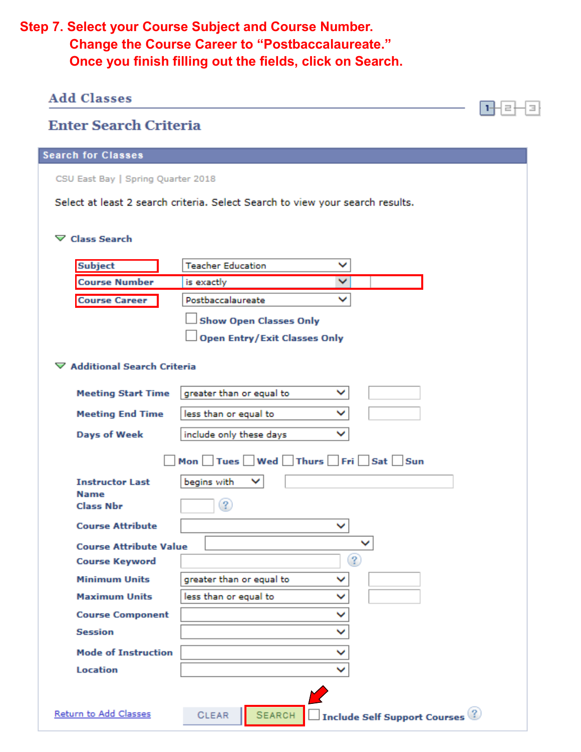# **Step 7. Select your Course Subject and Course Number. Change the Course Career to "Postbaccalaureate." Once you finish filling out the fields, click on Search.**

| <b>Add Classes</b>                 |                                                                               |                                                 |
|------------------------------------|-------------------------------------------------------------------------------|-------------------------------------------------|
| <b>Enter Search Criteria</b>       |                                                                               |                                                 |
| <b>Search for Classes</b>          |                                                                               |                                                 |
| CSU East Bay   Spring Quarter 2018 |                                                                               |                                                 |
|                                    | Select at least 2 search criteria. Select Search to view your search results. |                                                 |
|                                    |                                                                               |                                                 |
| $\nabla$ Class Search              |                                                                               |                                                 |
| <b>Subject</b>                     | <b>Teacher Education</b>                                                      |                                                 |
| <b>Course Number</b>               | v<br>is exactly                                                               |                                                 |
| <b>Course Career</b>               | Postbaccalaureate                                                             |                                                 |
|                                    | <b>Show Open Classes Only</b>                                                 |                                                 |
|                                    | <b>Open Entry/Exit Classes Only</b>                                           |                                                 |
|                                    |                                                                               |                                                 |
| ▽ Additional Search Criteria       |                                                                               |                                                 |
| <b>Meeting Start Time</b>          | greater than or equal to<br>◡                                                 |                                                 |
| <b>Meeting End Time</b>            | less than or equal to<br>◡                                                    |                                                 |
| <b>Days of Week</b>                | include only these days<br>◡                                                  |                                                 |
|                                    | Mon $\Box$ Tues $\Box$ Wed $\Box$ Thurs $\Box$ Fri $\Box$ Sat $\Box$ Sun      |                                                 |
| <b>Instructor Last</b>             | begins with                                                                   |                                                 |
| Name<br><b>Class Nbr</b>           | $\overline{\mathbf{?}}$                                                       |                                                 |
|                                    |                                                                               |                                                 |
| <b>Course Attribute</b>            |                                                                               |                                                 |
| <b>Course Attribute Value</b>      |                                                                               |                                                 |
| <b>Course Keyword</b>              |                                                                               | ℒ                                               |
| <b>Minimum Units</b>               | greater than or equal to                                                      |                                                 |
| <b>Maximum Units</b>               | less than or equal to<br>▽                                                    |                                                 |
| <b>Course Component</b>            | v                                                                             |                                                 |
| <b>Session</b>                     | ◡                                                                             |                                                 |
| <b>Mode of Instruction</b>         | v                                                                             |                                                 |
| <b>Location</b>                    |                                                                               |                                                 |
|                                    |                                                                               |                                                 |
| Return to Add Classes              | <b>SEARCH</b><br><b>CLEAR</b>                                                 | $\Box$ Include Self Support Courses $\mathbb Q$ |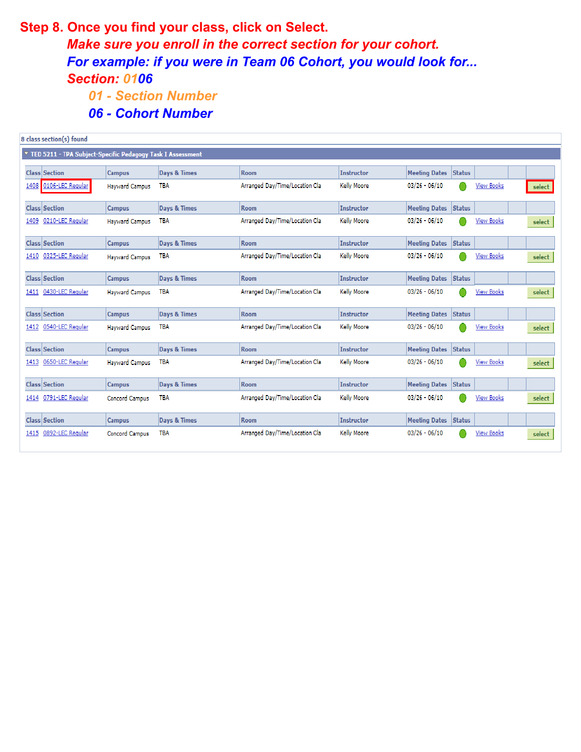### **Step 8. Once you find your class, click on Select.**

*Make sure you enroll in the correct section for your cohort. For example: if you were in Team 06 Cohort, you would look for... Section: 0106*

- *01 - Section Number*
- *06 - Cohort Number*

|      | 8 class section(s) found                                   |                       |                         |                                |                    |                                |               |                   |        |
|------|------------------------------------------------------------|-----------------------|-------------------------|--------------------------------|--------------------|--------------------------------|---------------|-------------------|--------|
|      | TED 5211 - TPA Subject-Specific Pedagogy Task I Assessment |                       |                         |                                |                    |                                |               |                   |        |
|      | <b>Class Section</b>                                       | <b>Campus</b>         | <b>Days &amp; Times</b> | <b>Room</b>                    | <b>Instructor</b>  | <b>Meeting Dates</b><br>Status |               |                   |        |
| 1408 | 0106-LEC Regular                                           | <b>Hayward Campus</b> | TBA                     | Arranged Day/Time/Location Cla | <b>Kelly Moore</b> | $03/26 - 06/10$                |               | <b>View Books</b> | select |
|      | <b>Class Section</b>                                       | <b>Campus</b>         | <b>Days &amp; Times</b> | <b>Room</b>                    | <b>Instructor</b>  | <b>Meeting Dates</b><br>Status |               |                   |        |
| 1409 | 0210-LEC Regular                                           | <b>Havward Campus</b> | <b>TBA</b>              | Arranged Day/Time/Location Cla | <b>Kelly Moore</b> | $03/26 - 06/10$                |               | <b>View Books</b> | select |
|      | <b>Class Section</b>                                       | <b>Campus</b>         | <b>Days &amp; Times</b> | <b>Room</b>                    | <b>Instructor</b>  | <b>Meeting Dates Status</b>    |               |                   |        |
|      | 1410 0325-LEC Regular                                      | <b>Hayward Campus</b> | TBA                     | Arranged Day/Time/Location Cla | <b>Kelly Moore</b> | $03/26 - 06/10$                |               | <b>View Books</b> | select |
|      | <b>Class Section</b>                                       | <b>Campus</b>         | <b>Days &amp; Times</b> | <b>Room</b>                    | <b>Instructor</b>  | <b>Meeting Dates</b>           | <b>Status</b> |                   |        |
|      | 1411 0430-LEC Regular                                      | <b>Hayward Campus</b> | TBA                     | Arranged Day/Time/Location Cla | <b>Kelly Moore</b> | $03/26 - 06/10$                |               | <b>View Books</b> | select |
|      | <b>Class Section</b>                                       | <b>Campus</b>         | <b>Days &amp; Times</b> | <b>Room</b>                    | <b>Instructor</b>  | <b>Meeting Dates</b><br>Status |               |                   |        |
|      | 1412 0540-LEC Regular                                      | <b>Hayward Campus</b> | <b>TBA</b>              | Arranged Day/Time/Location Cla | <b>Kelly Moore</b> | $03/26 - 06/10$                |               | <b>View Books</b> | select |
|      | <b>Class Section</b>                                       | <b>Campus</b>         | <b>Days &amp; Times</b> | <b>Room</b>                    | <b>Instructor</b>  | <b>Meeting Dates</b><br>Status |               |                   |        |
| 1413 | 0650-LEC Regular                                           | <b>Hayward Campus</b> | <b>TBA</b>              | Arranged Day/Time/Location Cla | <b>Kelly Moore</b> | $03/26 - 06/10$                |               | <b>View Books</b> | select |
|      | Class Section                                              | <b>Campus</b>         | <b>Days &amp; Times</b> | <b>Room</b>                    | <b>Instructor</b>  | <b>Meeting Dates Status</b>    |               |                   |        |
|      | 1414 0791-LEC Regular                                      | Concord Campus        | TBA                     | Arranged Day/Time/Location Cla | <b>Kelly Moore</b> | $03/26 - 06/10$                |               | <b>View Books</b> | select |
|      | <b>Class Section</b>                                       | <b>Campus</b>         | <b>Days &amp; Times</b> | <b>Room</b>                    | <b>Instructor</b>  | Status<br><b>Meeting Dates</b> |               |                   |        |
| 1415 | 0892-LEC Regular                                           | <b>Concord Campus</b> | <b>TBA</b>              | Arranged Day/Time/Location Cla | <b>Kelly Moore</b> | $03/26 - 06/10$                |               | View Books        | select |